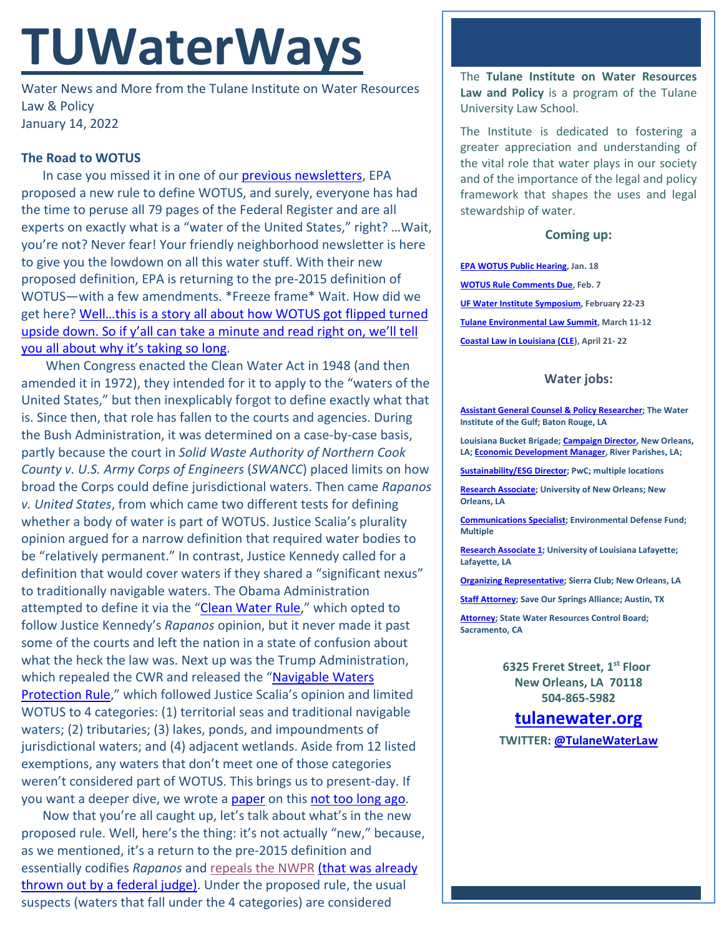# **TUWaterWays**

Water News and More from the Tulane Institute on Water Resources Law & Policy January 14, 2022

## **The Road to WOTUS**

In case you missed it in one of our [previous newsletters,](https://a21005ea-f0f0-4cff-a527-7c658373c740.filesusr.com/ugd/32079b_1f7d9b1d1801425b97f4cab6f68d9c0f.pdf) EPA proposed a new rule to define WOTUS, and surely, everyone has had the time to peruse all 79 pages of the Federal Register and are all experts on exactly what is a "water of the United States," right? …Wait, you're not? Never fear! Your friendly neighborhood newsletter is here to give you the lowdown on all this water stuff. With their new proposed definition, EPA is returning to the pre-2015 definition of WOTUS—with a few amendments. \*Freeze frame\* Wait. How did we get here? [Well…this is a story all about how WOTUS got flipped turned](https://www.youtube.com/watch?v=1nCqRmx3Dnw)  upside down. So if y'all can take a minute and read right on, we'll tell [you all about why it's taking so long.](https://www.youtube.com/watch?v=1nCqRmx3Dnw)

When Congress enacted the Clean Water Act in 1948 (and then amended it in 1972), they intended for it to apply to the "waters of the United States," but then inexplicably forgot to define exactly what that is. Since then, that role has fallen to the courts and agencies. During the Bush Administration, it was determined on a case-by-case basis, partly because the court in *Solid Waste Authority of Northern Cook County v. U.S. Army Corps of Engineers* (*SWANCC*) placed limits on how broad the Corps could define jurisdictional waters. Then came *Rapanos v. United States*, from which came two different tests for defining whether a body of water is part of WOTUS. Justice Scalia's plurality opinion argued for a narrow definition that required water bodies to be "relatively permanent." In contrast, Justice Kennedy called for a definition that would cover waters if they shared a "significant nexus" to traditionally navigable waters. The Obama Administration attempted to define it via the ["Clean Water Rule,](https://www.federalregister.gov/documents/2015/06/29/2015-13435/clean-water-rule-definition-of-waters-of-the-united-states)" which opted to follow Justice Kennedy's *Rapanos* opinion, but it never made it past some of the courts and left the nation in a state of confusion about what the heck the law was. Next up was the Trump Administration, which repealed the CWR and released the "Navigable Waters [Protection Rule,](https://www.epa.gov/sites/default/files/2020-01/documents/nwpr_fact_sheet_-_overview.pdf)" which followed Justice Scalia's opinion and limited WOTUS to 4 categories: (1) territorial seas and traditional navigable waters; (2) tributaries; (3) lakes, ponds, and impoundments of jurisdictional waters; and (4) adjacent wetlands. Aside from 12 listed exemptions, any waters that don't meet one of those categories weren't considered part of WOTUS. This brings us to present-day. If you want a deeper dive, we wrote [a paper](https://a21005ea-f0f0-4cff-a527-7c658373c740.filesusr.com/ugd/32079b_c136a0836d184119b5cc0bf76e7bf928.pdf) on this [not too long ago.](https://www.youtube.com/watch?v=NQoCYyjXuz0)

Now that you're all caught up, let's talk about what's in the new proposed rule. Well, here's the thing: it's not actually "new," because, as we mentioned, it's a return to the pre-2015 definition and essentially codifies *Rapanos* and [repeals the NWPR](https://tenor.com/view/men-in-black-will-smith-dont-worry-flash-neuralizer-gif-7897414) [\(that was already](https://www.reuters.com/world/us/us-judge-vacates-trump-water-rule-environmental-grounds-2021-08-30/)  [thrown out by a federal judge\).](https://www.reuters.com/world/us/us-judge-vacates-trump-water-rule-environmental-grounds-2021-08-30/) Under the proposed rule, the usual suspects (waters that fall under the 4 categories) are considered

The **Tulane Institute on Water Resources Law and Policy** is a program of the Tulane University Law School.

The Institute is dedicated to fostering a greater appreciation and understanding of the vital role that water plays in our society and of the importance of the legal and policy framework that shapes the uses and legal stewardship of water.

## **Coming up:**

**[EPA WOTUS Public Hearing,](https://www.epa.gov/wotus/public-outreach-and-stakeholder-engagement-activities) Jan. 18 [WOTUS Rule Comments Due,](https://www.regulations.gov/commenton/EPA-HQ-OW-2021-0602-0001) Feb. 7 [UF Water Institute Symposium,](https://conference.ifas.ufl.edu/waterinstitute/) February 22-23 [Tulane Environmental Law Summit,](https://tulaneenvironmentallawsummit.com/) March 11-12 [Coastal Law in Louisiana \(CLE\)](https://www.theseminargroup.net/seminardetl.aspx?id=22.shrNO), April 21- 22**

## **Water jobs:**

**[Assistant General Counsel & Policy Researcher;](https://workforcenow.adp.com/mascsr/default/mdf/recruitment/recruitment.html?cid=cfe9eb33-0f69-467c-bb2a-1bd0ea7c0cf1&ccId=19000101_000001&jobId=410130&lang=en_US&source=CC4) The Water Institute of the Gulf; Baton Rouge, LA** 

**Louisiana Bucket Brigade[; Campaign Director,](https://labucketbrigade.org/now-hiring-campaign-director/) New Orleans, LA[; Economic Development Manager,](https://labucketbrigade.org/now-hiring-economic-development-manager/) River Parishes, LA;** 

**[Sustainability/ESG Director;](https://jobs.us.pwc.com/job/-/-/932/8531402784?utm_source=linkedin.com&utm_campaign=core_media&utm_medium=social_media&utm_content=job_posting&ss=paid&dclid=CIHN-by5yvMCFUvrwAodK4kFqw) PwC; multiple locations**

**[Research Associate;](https://ulsuno.wd1.myworkdayjobs.com/en-US/UniversityOfNewOrleans/job/New-Orleans-La/Research-Associate-1_R-000365) University of New Orleans; New Orleans, LA**

**[Communications Specialist;](https://www.edf.org/jobs/communications-specialist-coastal-resilience) Environmental Defense Fund; Multiple**

**[Research Associate 1;](https://louisiana.csod.com/ux/ats/careersite/1/home/requisition/1576?c=louisiana) University of Louisiana Lafayette; Lafayette, LA**

**[Organizing Representative;](https://phf.tbe.taleo.net/phf01/ats/careers/v2/viewRequisition?org=SIERRACLUB&cws=39&rid=1816) Sierra Club; New Orleans, LA**

**[Staff Attorney;](https://www.linkedin.com/jobs/view/2875082048/?refId=cDp6TQdAwkl43DDpjZu%2Bfg%3D%3D) Save Our Springs Alliance; Austin, TX**

**[Attorney;](https://www.calcareers.ca.gov/CalHrPublic/Jobs/JobPosting.aspx?JobControlId=253429) State Water Resources Control Board; Sacramento, CA**

> **6325 Freret Street, 1st Floor New Orleans, LA 70118 504-865-5982**

**tulanewater.org TWITTER: [@TulaneWaterLaw](http://www.twitter.com/TulaneWaterLaw)**